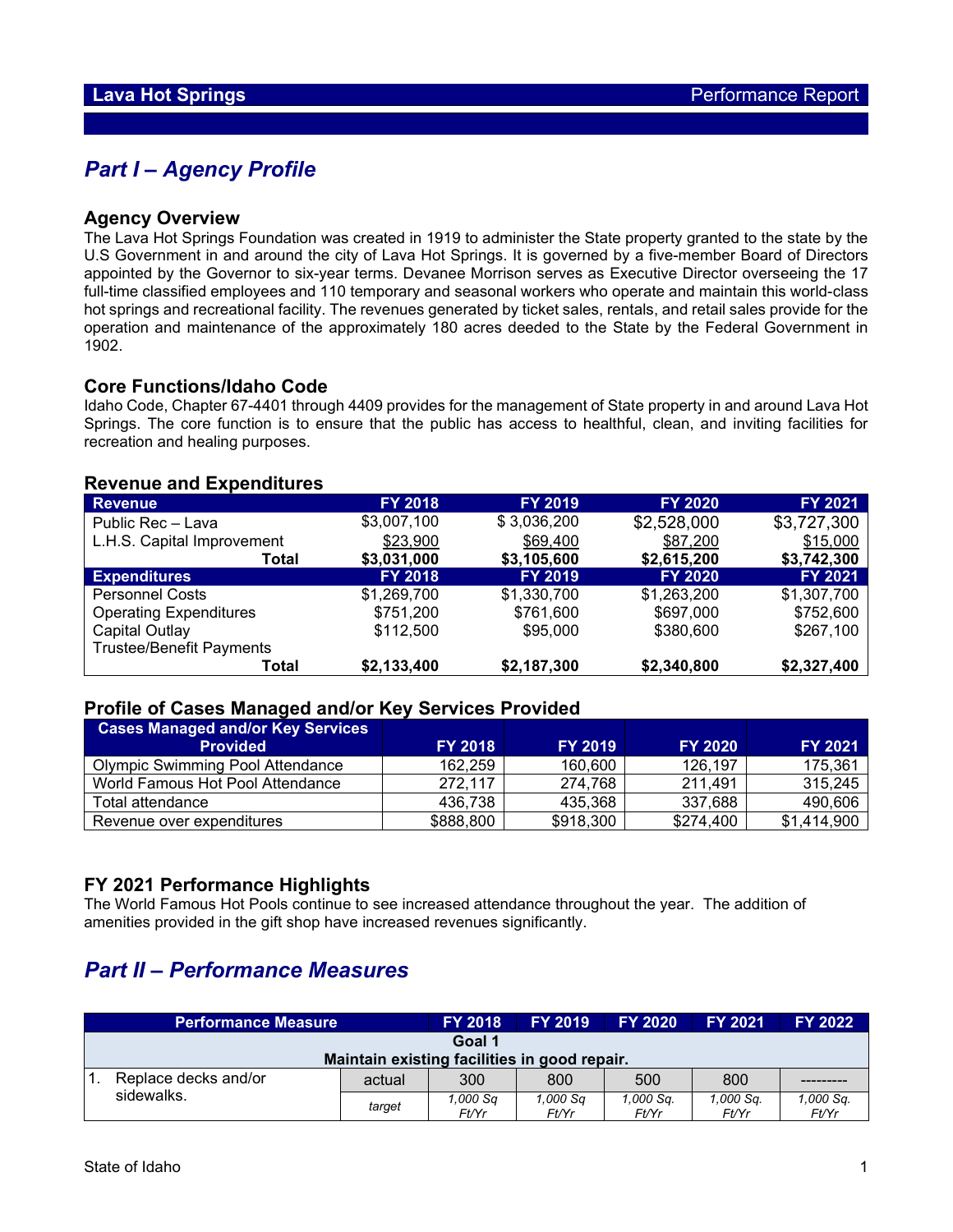# *Part I – Agency Profile*

### **Agency Overview**

The Lava Hot Springs Foundation was created in 1919 to administer the State property granted to the state by the U.S Government in and around the city of Lava Hot Springs. It is governed by a five-member Board of Directors appointed by the Governor to six-year terms. Devanee Morrison serves as Executive Director overseeing the 17 full-time classified employees and 110 temporary and seasonal workers who operate and maintain this world-class hot springs and recreational facility. The revenues generated by ticket sales, rentals, and retail sales provide for the operation and maintenance of the approximately 180 acres deeded to the State by the Federal Government in 1902.

#### **Core Functions/Idaho Code**

Idaho Code, Chapter 67-4401 through 4409 provides for the management of State property in and around Lava Hot Springs. The core function is to ensure that the public has access to healthful, clean, and inviting facilities for recreation and healing purposes.

| <b>Revenue</b>                  | <b>FY 2018</b> | <b>FY 2019</b> | <b>FY 2020</b> | FY 2021        |
|---------------------------------|----------------|----------------|----------------|----------------|
| Public Rec - Lava               | \$3,007,100    | \$3,036,200    | \$2,528,000    | \$3,727,300    |
| L.H.S. Capital Improvement      | \$23,900       | \$69,400       | \$87,200       | \$15,000       |
| Total                           | \$3,031,000    | \$3,105,600    | \$2,615,200    | \$3,742,300    |
| <b>Expenditures</b>             | <b>FY 2018</b> | <b>FY 2019</b> | <b>FY 2020</b> | <b>FY 2021</b> |
| <b>Personnel Costs</b>          | \$1,269,700    | \$1,330,700    | \$1,263,200    | \$1,307,700    |
| <b>Operating Expenditures</b>   | \$751,200      | \$761,600      | \$697,000      | \$752,600      |
| Capital Outlay                  | \$112,500      | \$95,000       | \$380,600      | \$267,100      |
| <b>Trustee/Benefit Payments</b> |                |                |                |                |
| Total                           | \$2,133,400    | \$2,187,300    | \$2,340,800    | \$2,327,400    |

#### **Revenue and Expenditures**

## **Profile of Cases Managed and/or Key Services Provided**

| <b>Cases Managed and/or Key Services</b><br><b>Provided</b> | <b>FY 2018</b> | <b>FY 2019</b> | <b>FY 2020</b> | <b>FY 2021</b> |
|-------------------------------------------------------------|----------------|----------------|----------------|----------------|
|                                                             |                |                |                |                |
| <b>Olympic Swimming Pool Attendance</b>                     | 162,259        | 160,600        | 126,197        | 175,361        |
| World Famous Hot Pool Attendance                            | 272,117        | 274,768        | 211,491        | 315,245        |
| Total attendance                                            | 436.738        | 435,368        | 337,688        | 490,606        |
| Revenue over expenditures                                   | \$888,800      | \$918,300      | \$274,400      | \$1,414,900    |

## **FY 2021 Performance Highlights**

The World Famous Hot Pools continue to see increased attendance throughout the year. The addition of amenities provided in the gift shop have increased revenues significantly.

# *Part II – Performance Measures*

| <b>Performance Measure</b>                   |        | <b>FY 2018</b>    | <b>FY 2019</b>    | <b>FY 2020</b>     | <b>FY 2021</b>     | <b>FY 2022</b>     |  |
|----------------------------------------------|--------|-------------------|-------------------|--------------------|--------------------|--------------------|--|
| Goal 1                                       |        |                   |                   |                    |                    |                    |  |
| Maintain existing facilities in good repair. |        |                   |                   |                    |                    |                    |  |
| Replace decks and/or                         | actual | 300               | 800               | 500                | 800                |                    |  |
| sidewalks.                                   | target | 1.000 Sa<br>Ft/Yr | 1.000 Sq<br>Ft/Yr | 1,000 Sq.<br>Ft/Yr | 1.000 Sq.<br>Ft/Yr | 1,000 Sq.<br>Ft/Yr |  |